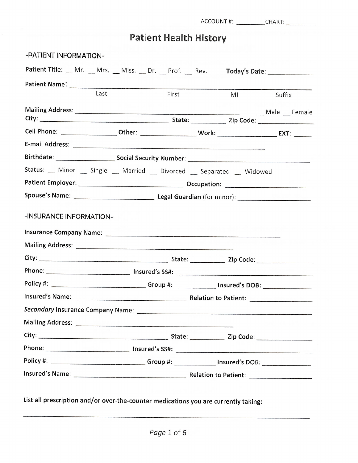ACCOUNT #: \_\_\_\_\_\_\_\_\_\_\_CHART: \_\_\_\_\_\_\_\_\_\_\_

# Patient Health History

| -PATIENT INFORMATION-                                                                                |      |                                                                                                     |       |    |                               |
|------------------------------------------------------------------------------------------------------|------|-----------------------------------------------------------------------------------------------------|-------|----|-------------------------------|
| Patient Title: __ Mr. __ Mrs. __ Miss. __ Dr. __ Prof. __ Rev.                                       |      |                                                                                                     |       |    | Today's Date: _______________ |
|                                                                                                      |      |                                                                                                     |       |    |                               |
|                                                                                                      | Last |                                                                                                     | First | MI | Suffix                        |
|                                                                                                      |      |                                                                                                     |       |    | _Male _Female                 |
|                                                                                                      |      |                                                                                                     |       |    |                               |
|                                                                                                      |      |                                                                                                     |       |    |                               |
|                                                                                                      |      |                                                                                                     |       |    |                               |
| Status: Minor Single _ Married Divorced Separated Widowed                                            |      |                                                                                                     |       |    |                               |
|                                                                                                      |      |                                                                                                     |       |    |                               |
|                                                                                                      |      |                                                                                                     |       |    |                               |
| -INSURANCE INFORMATION-                                                                              |      |                                                                                                     |       |    |                               |
|                                                                                                      |      |                                                                                                     |       |    |                               |
|                                                                                                      |      |                                                                                                     |       |    |                               |
|                                                                                                      |      |                                                                                                     |       |    |                               |
|                                                                                                      |      |                                                                                                     |       |    |                               |
|                                                                                                      |      | Policy #: ________________________________Group #: _______________ Insured's DOB: _________________ |       |    |                               |
|                                                                                                      |      |                                                                                                     |       |    |                               |
| Secondary Insurance Company Name:                                                                    |      |                                                                                                     |       |    |                               |
|                                                                                                      |      |                                                                                                     |       |    |                               |
|                                                                                                      |      |                                                                                                     |       |    |                               |
|                                                                                                      |      |                                                                                                     |       |    |                               |
| Policy #: ______________________________Group #: ______________Insured's DOB: ______________________ |      |                                                                                                     |       |    |                               |
|                                                                                                      |      |                                                                                                     |       |    |                               |
|                                                                                                      |      |                                                                                                     |       |    |                               |

List all prescription and/or over-the-counter medications you are currently taking: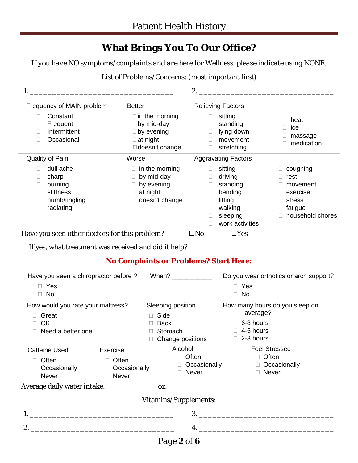## **What Brings You To Our Office?**

*If you have NO symptoms/complaints and are here for Wellness, please indicate using NONE.*

### List of Problems/Concerns: (most important first)

|                                                                                         |                                                                                                             | 2.                                                                                                                           |                                                                                          |  |
|-----------------------------------------------------------------------------------------|-------------------------------------------------------------------------------------------------------------|------------------------------------------------------------------------------------------------------------------------------|------------------------------------------------------------------------------------------|--|
| Frequency of MAIN problem                                                               | <b>Better</b>                                                                                               | <b>Relieving Factors</b>                                                                                                     |                                                                                          |  |
| Constant<br>Frequent<br>Intermittent<br>Occasional                                      | $\Box$ in the morning<br>$\Box$ by mid-day<br>$\Box$ by evening<br>$\Box$ at night<br>doesn't change        | sitting<br>standing<br>$\Box$<br>lying down<br>$\Box$<br>movement<br>stretching<br>$\Box$                                    | heat<br>ice<br>massage<br>medication                                                     |  |
| Quality of Pain                                                                         | Worse                                                                                                       | <b>Aggravating Factors</b>                                                                                                   |                                                                                          |  |
| dull ache<br>sharp<br>burning<br>stiffness<br>П<br>numb/tingling<br>□<br>radiating<br>□ | $\Box$ in the morning<br>$\Box$ by mid-day<br>$\Box$ by evening<br>$\Box$ at night<br>$\Box$ doesn't change | sitting<br>driving<br>standing<br>$\Box$<br>bending<br>$\Box$<br>lifting<br>$\Box$<br>walking<br>sleeping<br>work activities | coughing<br>rest<br>movement<br>exercise<br>stress<br>$\Box$ fatigue<br>household chores |  |
| Have you seen other doctors for this problem?                                           |                                                                                                             | $\square$ No<br>$\Box$ Yes                                                                                                   |                                                                                          |  |
| If yes, what treatment was received and did it help?                                    |                                                                                                             |                                                                                                                              |                                                                                          |  |

### **No Complaints or Problems? Start Here:**

| Have you seen a chiropractor before ? When? ___________ |                |                       | Do you wear orthotics or arch support?     |  |  |
|---------------------------------------------------------|----------------|-----------------------|--------------------------------------------|--|--|
| Yes                                                     |                |                       | Yes                                        |  |  |
| No.<br>$\Box$                                           |                | <b>No</b><br>П        |                                            |  |  |
| How would you rate your mattress?                       |                | Sleeping position     | How many hours do you sleep on<br>average? |  |  |
| □ Great                                                 |                | $\Box$ Side           |                                            |  |  |
| OK                                                      |                | <b>Back</b>           | $\Box$ 6-8 hours                           |  |  |
| Need a better one                                       |                | Stomach               | $\Box$ 4-5 hours                           |  |  |
|                                                         |                | Change positions      | $\Box$ 2-3 hours                           |  |  |
| Caffeine Used                                           | Exercise       | Alcohol               | <b>Feel Stressed</b>                       |  |  |
| Often                                                   | $\Box$ Often   | Often                 | $\Box$ Often                               |  |  |
| Occasionally                                            | □ Occasionally | $\Box$ Occasionally   | □ Occasionally                             |  |  |
| Never<br>П                                              | $\Box$ Never   | Never<br>П            | $\Box$ Never                               |  |  |
| Average daily water intake: ________________ oz.        |                |                       |                                            |  |  |
|                                                         |                | Vitamins/Supplements: |                                            |  |  |
|                                                         |                |                       |                                            |  |  |
|                                                         |                | 4.                    |                                            |  |  |
|                                                         |                | Page 2 of 6           |                                            |  |  |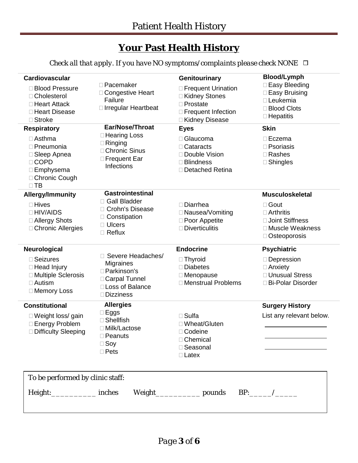## **Your Past Health History**

*Check all that apply. If you have NO symptoms/complaints please check NONE* 

| Cardiovascular                                                                                              |                                                                                                                |                                                                                                        |                                                                                                     |
|-------------------------------------------------------------------------------------------------------------|----------------------------------------------------------------------------------------------------------------|--------------------------------------------------------------------------------------------------------|-----------------------------------------------------------------------------------------------------|
|                                                                                                             |                                                                                                                | Genitourinary                                                                                          | <b>Blood/Lymph</b>                                                                                  |
| <b>Blood Pressure</b><br>□ Cholesterol<br>□ Heart Attack<br>□ Heart Disease<br>□ Stroke                     | □ Pacemaker<br>□ Congestive Heart<br>Failure<br>□ Irregular Heartbeat                                          | □ Frequent Urination<br>□ Kidney Stones<br>$\Box$ Prostate<br>□ Frequent Infection<br>□ Kidney Disease | □ Easy Bleeding<br>□ Easy Bruising<br>□ Leukemia<br>□ Blood Clots<br>$\Box$ Hepatitis               |
| <b>Respiratory</b>                                                                                          | Ear/Nose/Throat                                                                                                | <b>Eyes</b>                                                                                            | <b>Skin</b>                                                                                         |
| $\Box$ Asthma<br>□ Pneumonia<br>□ Sleep Apnea<br>□ COPD<br>$\Box$ Emphysema<br>□ Chronic Cough<br>$\Box$ TB | □ Hearing Loss<br>$\Box$ Ringing<br>□ Chronic Sinus<br>□ Frequent Ear<br>Infections                            | □ Glaucoma<br>$\Box$ Cataracts<br>□ Double Vision<br>$\Box$ Blindness<br>□ Detached Retina             | $\Box$ Eczema<br>$\square$ Psoriasis<br>$\Box$ Rashes<br>$\square$ Shingles                         |
| Allergy/Immunity                                                                                            | <b>Gastrointestinal</b>                                                                                        |                                                                                                        | <b>Musculoskeletal</b>                                                                              |
| $\Box$ Hives<br>□ HIV/AIDS<br>□ Allergy Shots<br>□ Chronic Allergies                                        | □ Gall Bladder<br>□ Crohn's Disease<br>□ Constipation<br>$\Box$ Ulcers<br>$\Box$ Reflux                        | $\square$ Diarrhea<br>□ Nausea/Vomiting<br>□ Poor Appetite<br>$\square$ Diverticulitis                 | $\square$ Gout<br>$\Box$ Arthritis<br>□ Joint Stiffness<br>□ Muscle Weakness<br>$\Box$ Osteoporosis |
| Neurological                                                                                                |                                                                                                                | <b>Endocrine</b>                                                                                       | <b>Psychiatric</b>                                                                                  |
|                                                                                                             |                                                                                                                |                                                                                                        |                                                                                                     |
| □ Seizures<br>□ Head Injury<br>□ Multiple Sclerosis<br>$\Box$ Autism<br>□ Memory Loss                       | Severe Headaches/<br>Migraines<br>□ Parkinson's<br>□ Carpal Tunnel<br>□ Loss of Balance<br>$\square$ Dizziness | $\Box$ Thyroid<br>$\square$ Diabetes<br>□ Menopause<br>□ Menstrual Problems                            | □ Depression<br>$\Box$ Anxiety<br>□ Unusual Stress<br>□ Bi-Polar Disorder                           |
| <b>Constitutional</b>                                                                                       | <b>Allergies</b>                                                                                               |                                                                                                        | <b>Surgery History</b>                                                                              |
| □ Weight loss/ gain<br>□ Energy Problem<br><b>Difficulty Sleeping</b>                                       | $\square$ Eggs<br>$\Box$ Shellfish<br>□ Milk/Lactose<br>Peanuts<br>$\Box$ Soy<br>$\Box$ Pets                   | $\square$ Sulfa<br>□ Wheat/Gluten<br>Codeine<br>□ Chemical<br>□ Seasonal<br>$\Box$ Latex               | List any relevant below.                                                                            |
| To be performed by clinic staff:                                                                            |                                                                                                                |                                                                                                        |                                                                                                     |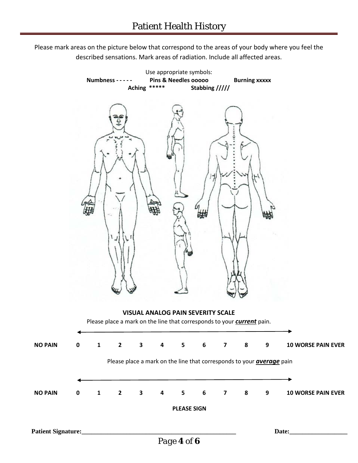Please mark areas on the picture below that correspond to the areas of your body where you feel the described sensations. Mark areas of radiation. Include all affected areas.

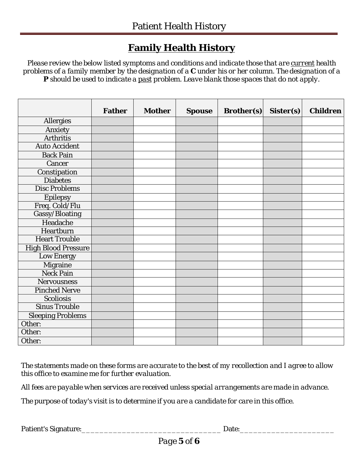## **Family Health History**

*Please review the below listed symptoms and conditions and indicate those that are current health problems of a family member by the designation of a* **C** *under his or her column. The designation of a*  **P** *should be used to indicate a past problem. Leave blank those spaces that do not apply.*

|                            | <b>Father</b> | <b>Mother</b> | <b>Spouse</b> | <b>Brother(s)</b> | Sister(s) | <b>Children</b> |
|----------------------------|---------------|---------------|---------------|-------------------|-----------|-----------------|
| Allergies                  |               |               |               |                   |           |                 |
| Anxiety                    |               |               |               |                   |           |                 |
| <b>Arthritis</b>           |               |               |               |                   |           |                 |
| <b>Auto Accident</b>       |               |               |               |                   |           |                 |
| <b>Back Pain</b>           |               |               |               |                   |           |                 |
| Cancer                     |               |               |               |                   |           |                 |
| Constipation               |               |               |               |                   |           |                 |
| <b>Diabetes</b>            |               |               |               |                   |           |                 |
| <b>Disc Problems</b>       |               |               |               |                   |           |                 |
| <b>Epilepsy</b>            |               |               |               |                   |           |                 |
| Freq. Cold/Flu             |               |               |               |                   |           |                 |
| Gassy/Bloating             |               |               |               |                   |           |                 |
| Headache                   |               |               |               |                   |           |                 |
| Heartburn                  |               |               |               |                   |           |                 |
| <b>Heart Trouble</b>       |               |               |               |                   |           |                 |
| <b>High Blood Pressure</b> |               |               |               |                   |           |                 |
| Low Energy                 |               |               |               |                   |           |                 |
| <b>Migraine</b>            |               |               |               |                   |           |                 |
| <b>Neck Pain</b>           |               |               |               |                   |           |                 |
| <b>Nervousness</b>         |               |               |               |                   |           |                 |
| <b>Pinched Nerve</b>       |               |               |               |                   |           |                 |
| <b>Scoliosis</b>           |               |               |               |                   |           |                 |
| <b>Sinus Trouble</b>       |               |               |               |                   |           |                 |
| <b>Sleeping Problems</b>   |               |               |               |                   |           |                 |
| Other:                     |               |               |               |                   |           |                 |
| Other:                     |               |               |               |                   |           |                 |
| Other:                     |               |               |               |                   |           |                 |

*The statements made on these forms are accurate to the best of my recollection and I agree to allow this office to examine me for further evaluation.* 

*All fees are payable when services are received unless special arrangements are made in advance.* 

*The purpose of today's visit is to determine if you are a candidate for care in this office.* 

Patient's Signature:\_\_\_\_\_\_\_\_\_\_\_\_\_\_\_\_\_\_\_\_\_\_\_\_\_\_\_\_\_\_\_ Date:\_\_\_\_\_\_\_\_\_\_\_\_\_\_\_\_\_\_\_\_\_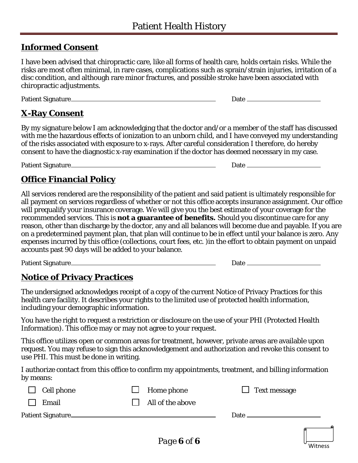### **Informed Consent**

I have been advised that chiropractic care, like all forms of health care, holds certain risks. While the risks are most often minimal, in rare cases, complications such as sprain/strain injuries, irritation of a disc condition, and although rare minor fractures, and possible stroke have been associated with chiropractic adjustments.

Patient Signature Date Date Date

### **X-Ray Consent**

By my signature below I am acknowledging that the doctor and/or a member of the staff has discussed with me the hazardous effects of ionization to an unborn child, and I have conveyed my understanding of the risks associated with exposure to x-rays. After careful consideration I therefore, do hereby consent to have the diagnostic x-ray examination if the doctor has deemed necessary in my case.

Patient Signature **Date Date Date Date Date** 

## **Office Financial Policy**

All services rendered are the responsibility of the patient and said patient is ultimately responsible for all payment on services regardless of whether or not this office accepts insurance assignment. Our office will prequalify your insurance coverage. We will give you the best estimate of your coverage for the recommended services. This is **not a guarantee of benefits.** Should you discontinue care for any reason, other than discharge by the doctor, any and all balances will become due and payable. If you are on a predetermined payment plan, that plan will continue to be in effect until your balance is zero. Any expenses incurred by this office (collections, court fees, etc. )in the effort to obtain payment on unpaid accounts past 90 days will be added to your balance.

Patient Signature **Date Date Date Date Date Date Date Date Date Date Date Date Date Date Date D** 

## **Notice of Privacy Practices**

The undersigned acknowledges receipt of a copy of the current Notice of Privacy Practices for this health care facility. It describes your rights to the limited use of protected health information, including your demographic information.

You have the right to request a restriction or disclosure on the use of your PHI (Protected Health Information). This office may or may not agree to your request.

This office utilizes open or common areas for treatment, however, private areas are available upon request. You may refuse to sign this acknowledgement and authorization and revoke this consent to use PHI. This must be done in writing.

I authorize contact from this office to confirm my appointments, treatment, and billing information by means:

| Cell phone | Home phone       | $\Box$ Text message |
|------------|------------------|---------------------|
| Email      | All of the above |                     |
|            |                  |                     |
|            |                  |                     |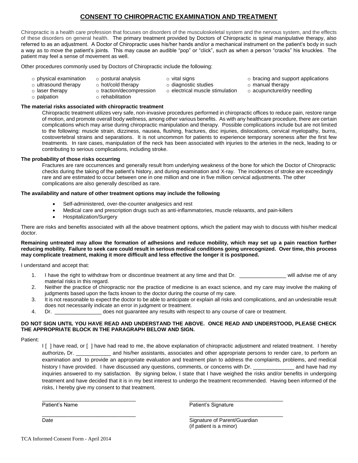### **CONSENT TO CHIROPRACTIC EXAMINATION AND TREATMENT**

Chiropractic is a health care profession that focuses on disorders of the musculoskeletal system and the nervous system, and the effects of these disorders on general health. The primary treatment provided by Doctors of Chiropractic is spinal manipulative therapy, also referred to as an adjustment. A Doctor of Chiropractic uses his/her hands and/or a mechanical instrument on the patient's body in such a way as to move the patient's joints. This may cause an audible "pop" or "click", such as when a person "cracks" his knuckles. The patient may feel a sense of movement as well.

Other procedures commonly used by Doctors of Chiropractic include the following:

- o physical examination o postural analysis
- o vital signs

o bracing and support applications

- o ultrasound therapy o hot/cold therapy
- 
- o traction/decompression
- o laser therapy o palpation
	- o rehabilitation
- o diagnostic studies
- o electrical muscle stimulation
- 
- o manual therapy
- o acupuncture/dry needling

**The material risks associated with chiropractic treatment** 

Chiropractic treatment utilizes very safe, non-invasive procedures performed in chiropractic offices to reduce pain, restore range of motion, and promote overall body wellness, among other various benefits. As with any healthcare procedure, there are certain complications which may arise during chiropractic manipulation and therapy. Possible complications include but are not limited to the following: muscle strain, dizziness, nausea, flushing, fractures, disc injuries, dislocations, cervical myelopathy, burns, costovertebral strains and separations. It is not uncommon for patients to experience temporary soreness after the first few treatments. In rare cases, manipulation of the neck has been associated with injuries to the arteries in the neck, leading to or contributing to serious complications, including stroke.

#### **The probability of those risks occurring**

Fractures are rare occurrences and generally result from underlying weakness of the bone for which the Doctor of Chiropractic checks during the taking of the patient's history, and during examination and X-ray. The incidences of stroke are exceedingly rare and are estimated to occur between one in one million and one in five million cervical adjustments. The other complications are also generally described as rare.

#### **The availability and nature of other treatment options may include the following**

- Self-administered, over-the-counter analgesics and rest
- Medical care and prescription drugs such as anti-inflammatories, muscle relaxants, and pain-killers
- Hospitalization/Surgery

There are risks and benefits associated with all the above treatment options, which the patient may wish to discuss with his/her medical doctor.

**Remaining untreated may allow the formation of adhesions and reduce mobility, which may set up a pain reaction further reducing mobility. Failure to seek care could result in serious medical conditions going unrecognized. Over time, this process may complicate treatment, making it more difficult and less effective the longer it is postponed.**

I understand and accept that:

- 1. I have the right to withdraw from or discontinue treatment at any time and that Dr. \_\_\_\_\_\_\_\_\_\_\_\_\_\_\_\_\_\_ will advise me of any material risks in this regard.
- 2. Neither the practice of chiropractic nor the practice of medicine is an exact science, and my care may involve the making of judgments based upon the facts known to the doctor during the course of my care.
- 3. It is not reasonable to expect the doctor to be able to anticipate or explain all risks and complications, and an undesirable result does not necessarily indicate an error in judgment or treatment.
- 4. Dr. \_\_\_\_\_\_\_\_\_\_\_\_\_\_\_\_ does not guarantee any results with respect to any course of care or treatment.

 $\frac{1}{2}$  ,  $\frac{1}{2}$  ,  $\frac{1}{2}$  ,  $\frac{1}{2}$  ,  $\frac{1}{2}$  ,  $\frac{1}{2}$  ,  $\frac{1}{2}$  ,  $\frac{1}{2}$  ,  $\frac{1}{2}$  ,  $\frac{1}{2}$  ,  $\frac{1}{2}$  ,  $\frac{1}{2}$  ,  $\frac{1}{2}$  ,  $\frac{1}{2}$  ,  $\frac{1}{2}$  ,  $\frac{1}{2}$  ,  $\frac{1}{2}$  ,  $\frac{1}{2}$  ,  $\frac{1$ 

 $\frac{1}{2}$  ,  $\frac{1}{2}$  ,  $\frac{1}{2}$  ,  $\frac{1}{2}$  ,  $\frac{1}{2}$  ,  $\frac{1}{2}$  ,  $\frac{1}{2}$  ,  $\frac{1}{2}$  ,  $\frac{1}{2}$  ,  $\frac{1}{2}$  ,  $\frac{1}{2}$  ,  $\frac{1}{2}$  ,  $\frac{1}{2}$  ,  $\frac{1}{2}$  ,  $\frac{1}{2}$  ,  $\frac{1}{2}$  ,  $\frac{1}{2}$  ,  $\frac{1}{2}$  ,  $\frac{1$ 

#### **DO NOT SIGN UNTIL YOU HAVE READ AND UNDERSTAND THE ABOVE. ONCE READ AND UNDERSTOOD, PLEASE CHECK THE APPROPRIATE BLOCK IN THE PARAGRAPH BELOW AND SIGN.**

Patient:

I [ ] have read, or [ ] have had read to me, the above explanation of chiropractic adjustment and related treatment. I hereby authorize, Dr. \_\_\_\_\_\_\_\_\_\_\_\_\_\_ and his/her assistants, associates and other appropriate persons to render care, to perform an examination and to provide an appropriate evaluation and treatment plan to address the complaints, problems, and medical history I have provided. I have discussed any questions, comments, or concerns with Dr. \_\_\_\_\_\_\_\_\_\_\_\_\_\_\_\_\_\_ and have had my inquiries answered to my satisfaction. By signing below, I state that I have weighed the risks and/or benefits in undergoing treatment and have decided that it is in my best interest to undergo the treatment recommended. Having been informed of the risks, I hereby give my consent to that treatment.

Patient's Name **Patient's Signature** 

Date **Signature of Parent/Guardian** (if patient is a minor)